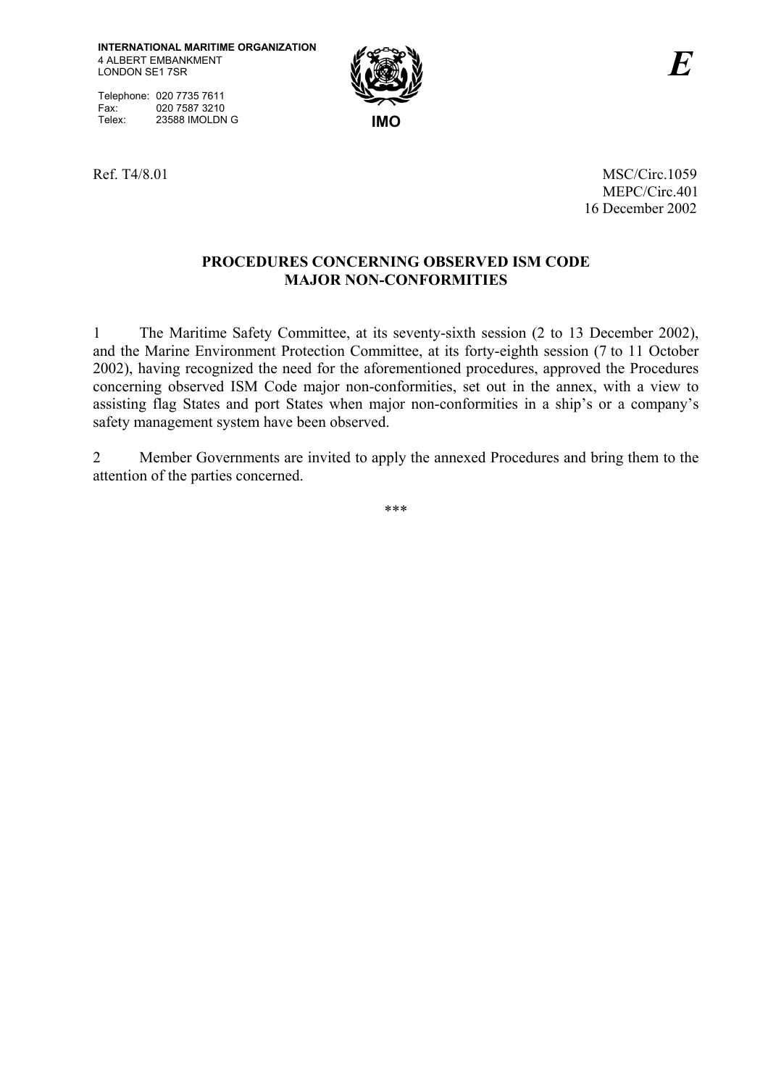Telephone: 020 7735 7611<br>Fax: 020 7587 3210 Fax: 020 7587 3210<br>Telex: 23588 IMOLDN Telex: 23588 IMOLDN G **IMO** 



Ref. T4/8.01 MSC/Circ.1059 MEPC/Circ.401 16 December 2002

## **PROCEDURES CONCERNING OBSERVED ISM CODE MAJOR NON-CONFORMITIES**

1 The Maritime Safety Committee, at its seventy-sixth session (2 to 13 December 2002), and the Marine Environment Protection Committee, at its forty-eighth session (7 to 11 October 2002), having recognized the need for the aforementioned procedures, approved the Procedures concerning observed ISM Code major non-conformities, set out in the annex, with a view to assisting flag States and port States when major non-conformities in a ship's or a company's safety management system have been observed.

2 Member Governments are invited to apply the annexed Procedures and bring them to the attention of the parties concerned.

\*\*\*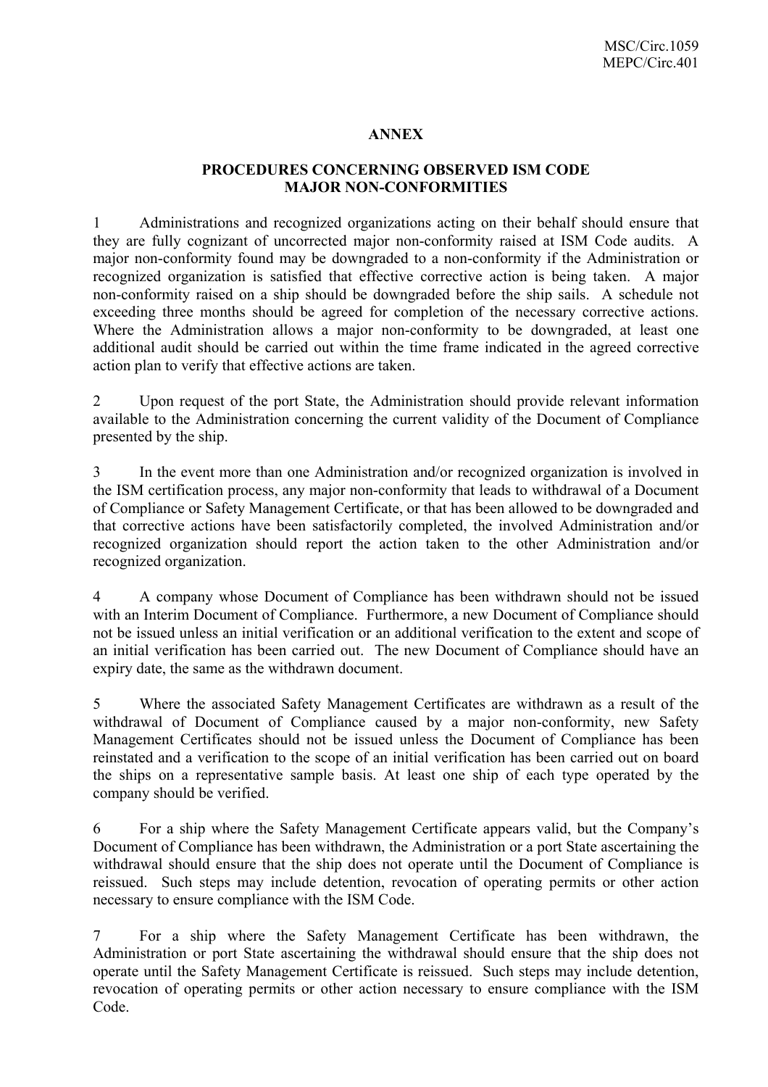## **ANNEX**

## **PROCEDURES CONCERNING OBSERVED ISM CODE MAJOR NON-CONFORMITIES**

1 Administrations and recognized organizations acting on their behalf should ensure that they are fully cognizant of uncorrected major non-conformity raised at ISM Code audits. A major non-conformity found may be downgraded to a non-conformity if the Administration or recognized organization is satisfied that effective corrective action is being taken. A major non-conformity raised on a ship should be downgraded before the ship sails. A schedule not exceeding three months should be agreed for completion of the necessary corrective actions. Where the Administration allows a major non-conformity to be downgraded, at least one additional audit should be carried out within the time frame indicated in the agreed corrective action plan to verify that effective actions are taken.

2 Upon request of the port State, the Administration should provide relevant information available to the Administration concerning the current validity of the Document of Compliance presented by the ship.

3 In the event more than one Administration and/or recognized organization is involved in the ISM certification process, any major non-conformity that leads to withdrawal of a Document of Compliance or Safety Management Certificate, or that has been allowed to be downgraded and that corrective actions have been satisfactorily completed, the involved Administration and/or recognized organization should report the action taken to the other Administration and/or recognized organization.

4 A company whose Document of Compliance has been withdrawn should not be issued with an Interim Document of Compliance. Furthermore, a new Document of Compliance should not be issued unless an initial verification or an additional verification to the extent and scope of an initial verification has been carried out. The new Document of Compliance should have an expiry date, the same as the withdrawn document.

5 Where the associated Safety Management Certificates are withdrawn as a result of the withdrawal of Document of Compliance caused by a major non-conformity, new Safety Management Certificates should not be issued unless the Document of Compliance has been reinstated and a verification to the scope of an initial verification has been carried out on board the ships on a representative sample basis. At least one ship of each type operated by the company should be verified.

6 For a ship where the Safety Management Certificate appears valid, but the Companyís Document of Compliance has been withdrawn, the Administration or a port State ascertaining the withdrawal should ensure that the ship does not operate until the Document of Compliance is reissued. Such steps may include detention, revocation of operating permits or other action necessary to ensure compliance with the ISM Code.

7 For a ship where the Safety Management Certificate has been withdrawn, the Administration or port State ascertaining the withdrawal should ensure that the ship does not operate until the Safety Management Certificate is reissued. Such steps may include detention, revocation of operating permits or other action necessary to ensure compliance with the ISM Code.